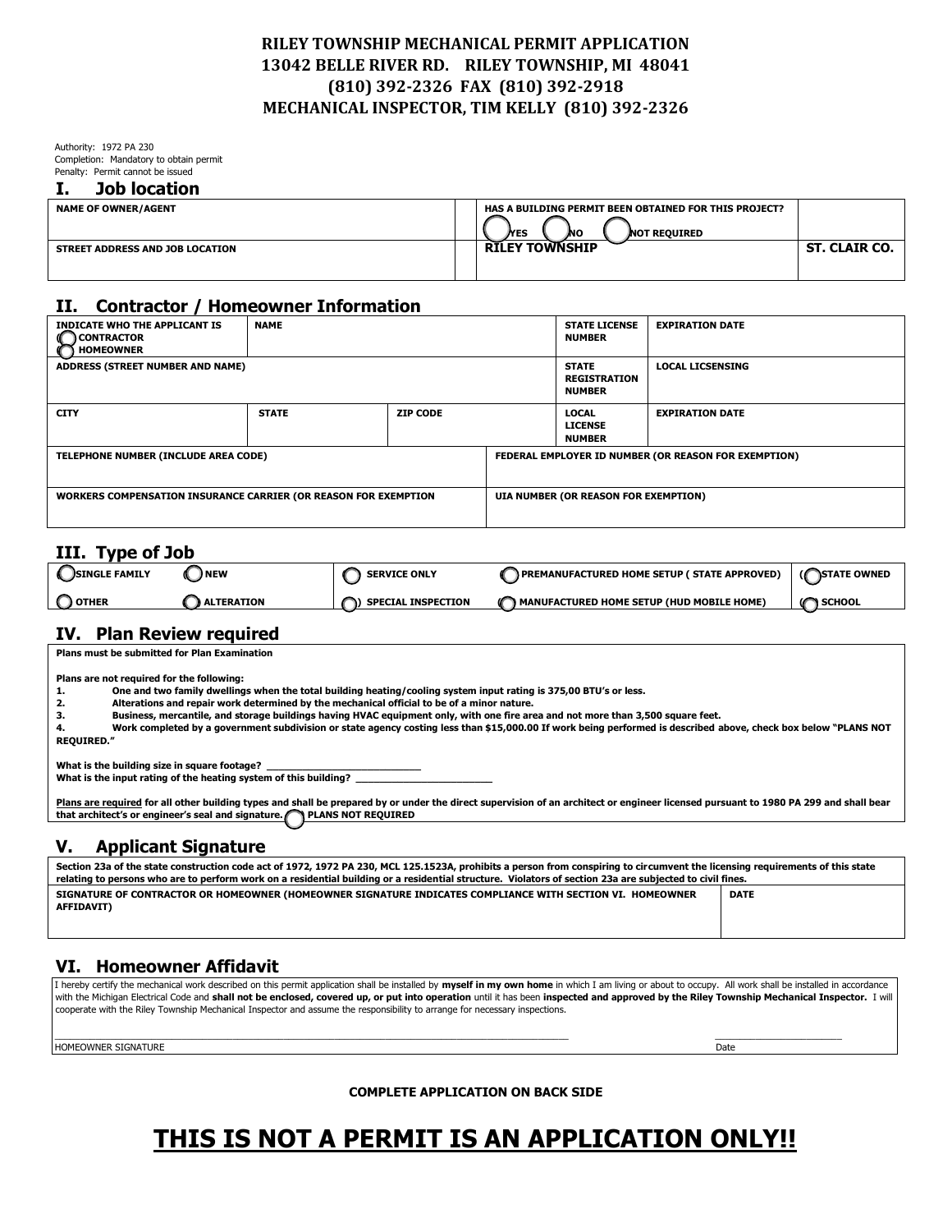## **RILEY TOWNSHIP MECHANICAL PERMIT APPLICATION 13042 BELLE RIVER RD. RILEY TOWNSHIP, MI 48041 (810) 392-2326 FAX (810) 392-2918 MECHANICAL INSPECTOR, TIM KELLY (810) 392-2326**

Authority: 1972 PA 230 Completion: Mandatory to obtain permit Penalty: Permit cannot be issued

#### **I. Job location**

| <b>NAME OF OWNER/AGENT</b>      | <b>HAS A BUILDING PERMIT BEEN OBTAINED FOR THIS PROJECT?</b><br>WES<br><b>NOT REQUIRED</b><br>MО |               |
|---------------------------------|--------------------------------------------------------------------------------------------------|---------------|
| STREET ADDRESS AND JOB LOCATION | <b>RILEY TOWNSHIP</b>                                                                            | ST. CLAIR CO. |

## **II. Contractor / Homeowner Information**

| <b>INDICATE WHO THE APPLICANT IS</b><br><b>CONTRACTOR</b><br><b>HOMEOWNER</b> | <b>NAME</b>  |                 |                                                      | <b>STATE LICENSE</b><br><b>NUMBER</b>                | <b>EXPIRATION DATE</b>  |
|-------------------------------------------------------------------------------|--------------|-----------------|------------------------------------------------------|------------------------------------------------------|-------------------------|
| ADDRESS (STREET NUMBER AND NAME)                                              |              |                 |                                                      | <b>STATE</b><br><b>REGISTRATION</b><br><b>NUMBER</b> | <b>LOCAL LICSENSING</b> |
| <b>CITY</b>                                                                   | <b>STATE</b> | <b>ZIP CODE</b> |                                                      | <b>LOCAL</b><br><b>LICENSE</b><br><b>NUMBER</b>      | <b>EXPIRATION DATE</b>  |
| TELEPHONE NUMBER (INCLUDE AREA CODE)                                          |              |                 | FEDERAL EMPLOYER ID NUMBER (OR REASON FOR EXEMPTION) |                                                      |                         |
| WORKERS COMPENSATION INSURANCE CARRIER (OR REASON FOR EXEMPTION               |              |                 | UIA NUMBER (OR REASON FOR EXEMPTION)                 |                                                      |                         |

# **III. Type of Job**

| <b>JSINGLE FAMILY</b> | <b>NEW</b>        | <b>SERVICE ONLY</b>       | PREMANUFACTURED HOME SETUP ( STATE APPROVED)  | C<br><b>NSTATE OWNED</b> |
|-----------------------|-------------------|---------------------------|-----------------------------------------------|--------------------------|
| <b>OTHER</b>          | <b>ALTERATION</b> | <b>SPECIAL INSPECTION</b> | The MANUFACTURED HOME SETUP (HUD MOBILE HOME) | œ<br><b>SCHOOL</b>       |

### **IV. Plan Review required**

**Plans must be submitted for Plan Examination** 

**Plans are not required for the following:** 

**1. One and two family dwellings when the total building heating/cooling system input rating is 375,00 BTU's or less.** 

**2. Alterations and repair work determined by the mechanical official to be of a minor nature.** 

**3. Business, mercantile, and storage buildings having HVAC equipment only, with one fire area and not more than 3,500 square feet.** 

**4. Work completed by a government subdivision or state agency costing less than \$15,000.00 If work being performed is described above, check box below "PLANS NOT REQUIRED."** 

What is the building size in square footage?

What is the input rating of the heating system of this building?

**Plans are required for all other building types and shall be prepared by or under the direct supervision of an architect or engineer licensed pursuant to 1980 PA 299 and shall bear that architect's or engineer's seal and signature. ( ) PLANS NOT REQUIRED** 

# **V. Applicant Signature**

| Section 23a of the state construction code act of 1972, 1972 PA 230, MCL 125.1523A, prohibits a person from conspiring to circumvent the licensing requirements of this state |             |  |  |  |  |
|-------------------------------------------------------------------------------------------------------------------------------------------------------------------------------|-------------|--|--|--|--|
| relating to persons who are to perform work on a residential building or a residential structure. Violators of section 23a are subjected to civil fines.                      |             |  |  |  |  |
| SIGNATURE OF CONTRACTOR OR HOMEOWNER (HOMEOWNER SIGNATURE INDICATES COMPLIANCE WITH SECTION VI. HOMEOWNER<br><b>AFFIDAVIT)</b>                                                | <b>DATE</b> |  |  |  |  |

# **VI. Homeowner Affidavit**

I hereby certify the mechanical work described on this permit application shall be installed by **myself in my own home** in which I am living or about to occupy. All work shall be installed in accordance with the Michigan Electrical Code and **shall not be enclosed, covered up, or put into operation** until it has been **inspected and approved by the Riley Township Mechanical Inspector.** I will cooperate with the Riley Township Mechanical Inspector and assume the responsibility to arrange for necessary inspections.

\_\_\_\_\_\_\_\_\_\_\_\_\_\_\_\_\_\_\_\_\_\_\_\_\_\_\_\_\_\_\_\_\_\_\_\_\_\_\_\_\_\_\_\_\_\_\_\_\_\_\_\_\_\_\_\_\_\_\_\_\_\_\_\_\_\_\_\_\_\_\_\_\_\_\_\_\_\_\_\_\_\_\_\_\_\_\_\_\_\_\_\_\_\_\_\_\_\_\_\_\_ \_\_\_\_\_\_\_\_\_\_\_\_\_\_\_\_\_\_\_\_\_\_\_\_\_ **HOMEOWNER SIGNATURE** 

**COMPLETE APPLICATION ON BACK SIDE** 

# **THIS IS NOT A PERMIT IS AN APPLICATION ONLY!!**